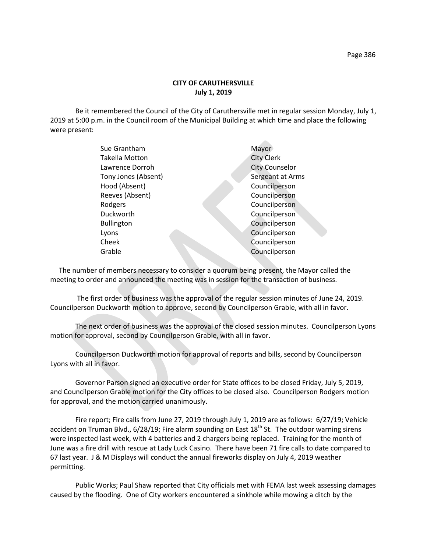## **CITY OF CARUTHERSVILLE July 1, 2019**

Be it remembered the Council of the City of Caruthersville met in regular session Monday, July 1, 2019 at 5:00 p.m. in the Council room of the Municipal Building at which time and place the following were present:

| Sue Grantham          | Mayor                 |
|-----------------------|-----------------------|
| <b>Takella Motton</b> | <b>City Clerk</b>     |
| Lawrence Dorroh       | <b>City Counselor</b> |
| Tony Jones (Absent)   | Sergeant at Arms      |
| Hood (Absent)         | Councilperson         |
| Reeves (Absent)       | Councilperson         |
| Rodgers               | Councilperson         |
| Duckworth             | Councilperson         |
| <b>Bullington</b>     | Councilperson         |
| Lyons                 | Councilperson         |
| Cheek                 | Councilperson         |
| Grable                | Councilperson         |
|                       |                       |

 The number of members necessary to consider a quorum being present, the Mayor called the meeting to order and announced the meeting was in session for the transaction of business.

The first order of business was the approval of the regular session minutes of June 24, 2019. Councilperson Duckworth motion to approve, second by Councilperson Grable, with all in favor.

The next order of business was the approval of the closed session minutes. Councilperson Lyons motion for approval, second by Councilperson Grable, with all in favor.

Councilperson Duckworth motion for approval of reports and bills, second by Councilperson Lyons with all in favor.

Governor Parson signed an executive order for State offices to be closed Friday, July 5, 2019, and Councilperson Grable motion for the City offices to be closed also. Councilperson Rodgers motion for approval, and the motion carried unanimously.

Fire report; Fire calls from June 27, 2019 through July 1, 2019 are as follows: 6/27/19; Vehicle accident on Truman Blvd.,  $6/28/19$ ; Fire alarm sounding on East  $18<sup>th</sup>$  St. The outdoor warning sirens were inspected last week, with 4 batteries and 2 chargers being replaced. Training for the month of June was a fire drill with rescue at Lady Luck Casino. There have been 71 fire calls to date compared to 67 last year. J & M Displays will conduct the annual fireworks display on July 4, 2019 weather permitting.

Public Works; Paul Shaw reported that City officials met with FEMA last week assessing damages caused by the flooding. One of City workers encountered a sinkhole while mowing a ditch by the